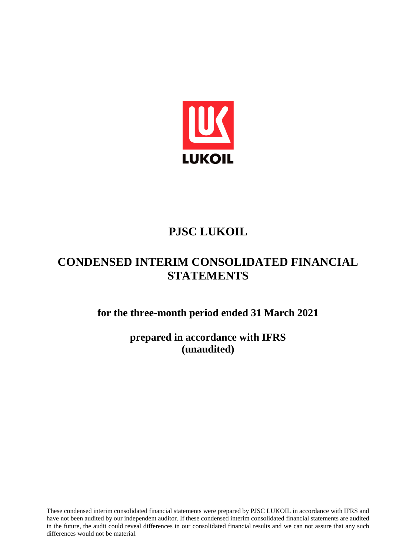

# **PJSC LUKOIL**

# **CONDENSED INTERIM CONSOLIDATED FINANCIAL STATEMENTS**

**for the three-month period ended 31 March 2021**

**prepared in accordance with IFRS (unaudited)**

These condensed interim consolidated financial statements were prepared by PJSC LUKOIL in accordance with IFRS and have not been audited by our independent auditor. If these condensed interim consolidated financial statements are audited in the future, the audit could reveal differences in our consolidated financial results and we can not assure that any such differences would not be material.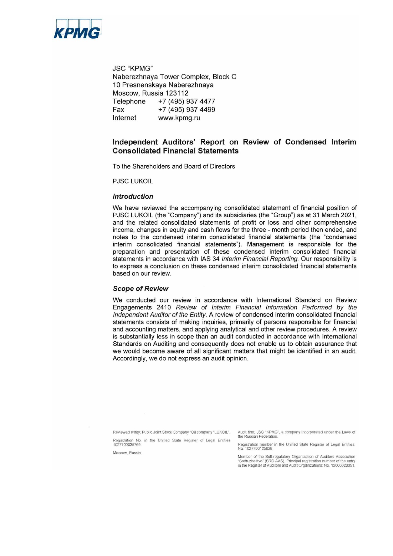

**JSC "KPMG"** Naberezhnava Tower Complex, Block C 10 Presnenskaya Naberezhnaya Moscow, Russia 123112 Telephone +7 (495) 937 4477 Fax +7 (495) 937 4499 Internet www.kpmg.ru

# Independent Auditors' Report on Review of Condensed Interim **Consolidated Financial Statements**

To the Shareholders and Board of Directors

**PJSC LUKOIL** 

#### **Introduction**

We have reviewed the accompanying consolidated statement of financial position of PJSC LUKOIL (the "Company") and its subsidiaries (the "Group") as at 31 March 2021, and the related consolidated statements of profit or loss and other comprehensive income, changes in equity and cash flows for the three - month period then ended, and notes to the condensed interim consolidated financial statements (the "condensed interim consolidated financial statements"). Management is responsible for the preparation and presentation of these condensed interim consolidated financial statements in accordance with IAS 34 Interim Financial Reporting. Our responsibility is to express a conclusion on these condensed interim consolidated financial statements based on our review.

#### **Scope of Review**

We conducted our review in accordance with International Standard on Review Engagements 2410 Review of Interim Financial Information Performed by the Independent Auditor of the Entity. A review of condensed interim consolidated financial statements consists of making inquiries, primarily of persons responsible for financial and accounting matters, and applying analytical and other review procedures. A review is substantially less in scope than an audit conducted in accordance with International Standards on Auditing and consequently does not enable us to obtain assurance that we would become aware of all significant matters that might be identified in an audit. Accordingly, we do not express an audit opinion.

Reviewed entity: Public Joint Stock Company "Oil company "LUKOIL". Registration No. in the Unified State Register of Legal Entities 1027700035769

Moscow, Russia

Audit firm: JSC "KPMG", a company incorporated under the Laws of the Russian Federation.

Registration number in the Unified State Register of Legal Entities: No. 1027700125628.

Member of the Self-regulatory Organization of Auditors Association<br>"Sodruzhestvo" (SRO AAS). Principal registration number of the entry<br>in the Register of Auditors and Audit Organizations: No. 12006020351.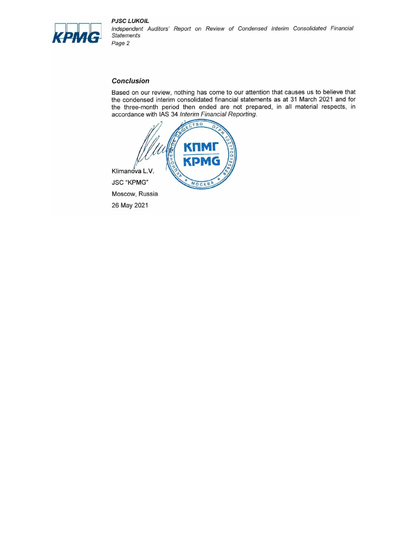

**PJSC LUKOIL** Independent Auditors' Report on Review of Condensed Interim Consolidated Financial **Statements** Page 2

#### **Conclusion**

Based on our review, nothing has come to our attention that causes us to believe that the condensed interim consolidated financial statements as at 31 March 2021 and for the three-month period then ended are not prepared, in all material respects, in accordance with IAS 34 Interim Financial Reporting.



Moscow, Russia 26 May 2021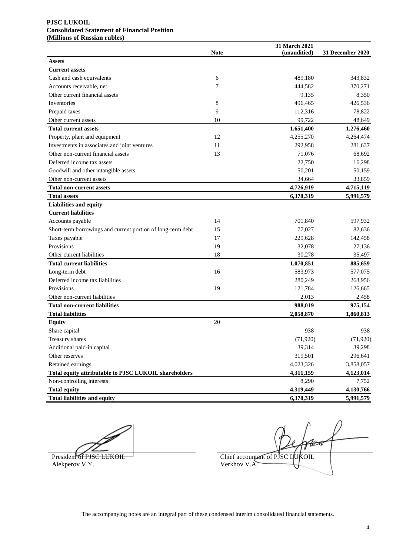#### **PJSC LUKOIL Consolidated Statement of Financial Position (Millions of Russian rubles)**

|                                                             | <b>Note</b> | 31 March 2021<br>(unauditied) | 31 December 2020 |
|-------------------------------------------------------------|-------------|-------------------------------|------------------|
| <b>Assets</b>                                               |             |                               |                  |
| <b>Current assets</b>                                       |             |                               |                  |
| Cash and cash equivalents                                   | 6           | 489,180                       | 343,832          |
| Accounts receivable, net                                    | 7           | 444,582                       | 370,271          |
| Other current financial assets                              |             | 9,135                         | 8,350            |
| Inventories                                                 | 8           | 496,465                       | 426,536          |
| Prepaid taxes                                               | 9           | 112,316                       | 78,822           |
| Other current assets                                        | 10          | 99,722                        | 48,649           |
| <b>Total current assets</b>                                 |             | 1,651,400                     | 1,276,460        |
| Property, plant and equipment                               | 12          | 4,255,270                     | 4,264,474        |
| Investments in associates and joint ventures                | 11          | 292,958                       | 281,637          |
| Other non-current financial assets                          | 13          | 71,076                        | 68,692           |
| Deferred income tax assets                                  |             | 22,750                        | 16,298           |
| Goodwill and other intangible assets                        |             | 50,201                        | 50,159           |
| Other non-current assets                                    |             | 34,664                        | 33,859           |
| <b>Total non-current assets</b>                             |             | 4,726,919                     | 4,715,119        |
| <b>Total assets</b>                                         |             | 6,378,319                     | 5,991,579        |
| <b>Liabilities and equity</b>                               |             |                               |                  |
| <b>Current liabilities</b>                                  |             |                               |                  |
| Accounts payable                                            | 14          | 701,840                       | 597,932          |
| Short-term borrowings and current portion of long-term debt | 15          | 77,027                        | 82,636           |
| Taxes payable                                               | 17          | 229,628                       | 142,458          |
| Provisions                                                  | 19          | 32,078                        | 27,136           |
| Other current liabilities                                   | 18          | 30,278                        | 35,497           |
| <b>Total current liabilities</b>                            |             | 1,070,851                     | 885,659          |
| Long-term debt                                              | 16          | 583,973                       | 577,075          |
| Deferred income tax liabilities                             |             | 280,249                       | 268,956          |
| Provisions                                                  | 19          | 121,784                       | 126,665          |
| Other non-current liabilities                               |             | 2,013                         | 2,458            |
| <b>Total non-current liabilities</b>                        |             | 988,019                       | 975,154          |
| <b>Total liabilities</b>                                    |             | 2,058,870                     | 1,860,813        |
| <b>Equity</b>                                               | 20          |                               |                  |
| Share capital                                               |             | 938                           | 938              |
| Treasury shares                                             |             | (71, 920)                     | (71, 920)        |
| Additional paid-in capital                                  |             | 39,314                        | 39,298           |
| Other reserves                                              |             | 319,501                       | 296,641          |
| Retained earnings                                           |             | 4,023,326                     | 3,858,057        |
| Total equity attributable to PJSC LUKOIL shareholders       |             | 4,311,159                     | 4,123,014        |
| Non-controlling interests                                   |             | 8,290                         | 7,752            |
| <b>Total equity</b>                                         |             | 4,319,449                     | 4,130,766        |
| <b>Total liabilities and equity</b>                         |             | 6,378,319                     | 5,991,579        |

Alekperov V.Y.

 $\mathcal{H}$ President of PJSC LUKOIL Chief accountant of PJSC LUKOIL Alekperov V.Y.

The accompanying notes are an integral part of these condensed interim consolidated financial statements.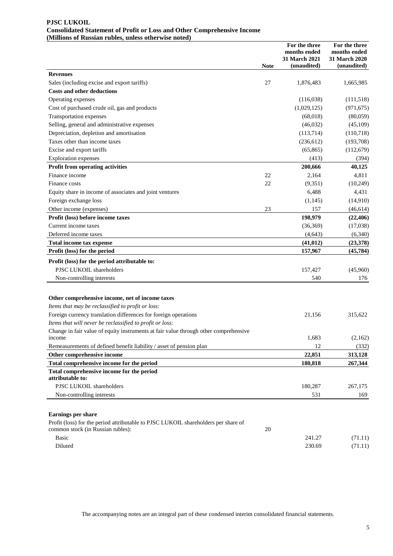#### **PJSC LUKOIL Consolidated Statement of Profit or Loss and Other Comprehensive Income (Millions of Russian rubles, unless otherwise noted)**

|                                                                                                                                                  |             | For the three<br>months ended<br>31 March 2021 | For the three<br>months ended<br>31 March 2020 |
|--------------------------------------------------------------------------------------------------------------------------------------------------|-------------|------------------------------------------------|------------------------------------------------|
|                                                                                                                                                  | <b>Note</b> | (unaudited)                                    | (unaudited)                                    |
| <b>Revenues</b>                                                                                                                                  |             |                                                |                                                |
| Sales (including excise and export tariffs)                                                                                                      | 27          | 1,876,483                                      | 1,665,985                                      |
| <b>Costs and other deductions</b>                                                                                                                |             |                                                |                                                |
| Operating expenses                                                                                                                               |             | (116,038)                                      | (111,518)                                      |
| Cost of purchased crude oil, gas and products                                                                                                    |             | (1,029,125)                                    | (971, 675)                                     |
| Transportation expenses                                                                                                                          |             | (68, 018)                                      | (80,059)                                       |
| Selling, general and administrative expenses                                                                                                     |             | (46,032)                                       | (45,109)                                       |
| Depreciation, depletion and amortisation                                                                                                         |             | (113,714)                                      | (110,718)                                      |
| Taxes other than income taxes                                                                                                                    |             | (236, 612)                                     | (193,708)                                      |
| Excise and export tariffs                                                                                                                        |             | (65, 865)                                      | (112, 679)                                     |
| <b>Exploration</b> expenses                                                                                                                      |             | (413)                                          | (394)                                          |
| Profit from operating activities                                                                                                                 |             | 200,666                                        | 40,125                                         |
| Finance income                                                                                                                                   | 22          | 2,164                                          | 4,811                                          |
| Finance costs                                                                                                                                    | 22          | (9,351)                                        | (10, 249)                                      |
| Equity share in income of associates and joint ventures                                                                                          |             | 6,488                                          | 4,431                                          |
| Foreign exchange loss                                                                                                                            |             | (1,145)                                        | (14,910)                                       |
| Other income (expenses)                                                                                                                          | 23          | 157                                            | (46, 614)                                      |
| Profit (loss) before income taxes                                                                                                                |             | 198,979                                        | (22, 406)                                      |
| Current income taxes                                                                                                                             |             | (36, 369)                                      | (17,038)                                       |
| Deferred income taxes                                                                                                                            |             | (4, 643)                                       | (6, 340)                                       |
| Total income tax expense                                                                                                                         |             | (41, 012)                                      | (23, 378)                                      |
| Profit (loss) for the period                                                                                                                     |             | 157,967                                        | (45, 784)                                      |
| Profit (loss) for the period attributable to:                                                                                                    |             |                                                |                                                |
| PJSC LUKOIL shareholders                                                                                                                         |             | 157,427                                        | (45,960)                                       |
| Non-controlling interests                                                                                                                        |             | 540                                            | 176                                            |
|                                                                                                                                                  |             |                                                |                                                |
|                                                                                                                                                  |             |                                                |                                                |
| Other comprehensive income, net of income taxes<br>Items that may be reclassified to profit or loss:                                             |             |                                                |                                                |
| Foreign currency translation differences for foreign operations                                                                                  |             |                                                | 315,622                                        |
|                                                                                                                                                  |             | 21,156                                         |                                                |
| Items that will never be reclassified to profit or loss:<br>Change in fair value of equity instruments at fair value through other comprehensive |             |                                                |                                                |
| <i>n</i> come                                                                                                                                    |             | 1,683                                          | (2,162)                                        |
| Remeasurements of defined benefit liability / asset of pension plan                                                                              |             | 12                                             | (332)                                          |
| Other comprehensive income                                                                                                                       |             | 22,851                                         | 313,128                                        |
| Total comprehensive income for the period                                                                                                        |             | 180,818                                        | 267,344                                        |
| Total comprehensive income for the period                                                                                                        |             |                                                |                                                |
| attributable to:                                                                                                                                 |             |                                                |                                                |
| PJSC LUKOIL shareholders                                                                                                                         |             | 180,287                                        | 267,175                                        |
| Non-controlling interests                                                                                                                        |             | 531                                            | 169                                            |
|                                                                                                                                                  |             |                                                |                                                |
| <b>Earnings per share</b>                                                                                                                        |             |                                                |                                                |
| Profit (loss) for the period attributable to PJSC LUKOIL shareholders per share of                                                               |             |                                                |                                                |
| common stock (in Russian rubles):                                                                                                                | 20          |                                                |                                                |
| <b>Basic</b>                                                                                                                                     |             | 241.27                                         | (71.11)                                        |
| Diluted                                                                                                                                          |             | 230.69                                         | (71.11)                                        |

The accompanying notes are an integral part of these condensed interim consolidated financial statements.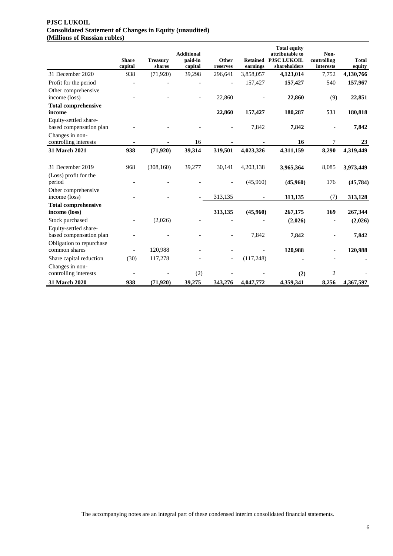#### **PJSC LUKOIL Consolidated Statement of Changes in Equity (unaudited) (Millions of Russian rubles)**

|                                                  | <b>Share</b> | <b>Treasury</b> | <b>Additional</b><br>paid-in | Other    |           | <b>Total equity</b><br>attributable to<br><b>Retained PJSC LUKOIL</b> | Non-<br>controlling | <b>Total</b> |
|--------------------------------------------------|--------------|-----------------|------------------------------|----------|-----------|-----------------------------------------------------------------------|---------------------|--------------|
|                                                  | capital      | shares          | capital                      | reserves | earnings  | shareholders                                                          | interests           | equity       |
| 31 December 2020                                 | 938          | (71, 920)       | 39,298                       | 296,641  | 3,858,057 | 4,123,014                                                             | 7,752               | 4,130,766    |
| Profit for the period                            |              |                 |                              |          | 157,427   | 157,427                                                               | 540                 | 157,967      |
| Other comprehensive<br>income (loss)             |              |                 |                              | 22,860   |           | 22,860                                                                | (9)                 | 22,851       |
| <b>Total comprehensive</b><br>income             |              |                 |                              | 22,860   | 157,427   | 180,287                                                               | 531                 | 180,818      |
| Equity-settled share-<br>based compensation plan |              |                 |                              |          | 7,842     | 7,842                                                                 |                     | 7,842        |
| Changes in non-<br>controlling interests         |              |                 | 16                           |          |           | 16                                                                    | $\overline{7}$      | 23           |
| 31 March 2021                                    | 938          | (71,920)        | 39,314                       | 319,501  | 4,023,326 | 4,311,159                                                             | 8,290               | 4,319,449    |
|                                                  |              |                 |                              |          |           |                                                                       |                     |              |
| 31 December 2019                                 | 968          | (308, 160)      | 39,277                       | 30,141   | 4,203,138 | 3,965,364                                                             | 8,085               | 3,973,449    |
| (Loss) profit for the<br>period                  |              |                 |                              |          | (45,960)  | (45,960)                                                              | 176                 | (45, 784)    |
| Other comprehensive<br>income (loss)             |              |                 |                              | 313,135  |           | 313,135                                                               | (7)                 | 313,128      |
| <b>Total comprehensive</b><br>income (loss)      |              |                 |                              | 313,135  | (45,960)  | 267,175                                                               | 169                 | 267,344      |
| Stock purchased                                  |              | (2,026)         |                              |          |           | (2,026)                                                               |                     | (2,026)      |
| Equity-settled share-<br>based compensation plan |              |                 |                              |          | 7,842     | 7,842                                                                 |                     | 7,842        |
| Obligation to repurchase<br>common shares        |              | 120,988         |                              |          |           | 120,988                                                               |                     | 120,988      |
| Share capital reduction                          | (30)         | 117,278         |                              |          | (117,248) |                                                                       |                     |              |
| Changes in non-<br>controlling interests         |              |                 | (2)                          |          |           | (2)                                                                   | 2                   |              |
| 31 March 2020                                    | 938          | (71,920)        | 39,275                       | 343,276  | 4,047,772 | 4,359,341                                                             | 8,256               | 4,367,597    |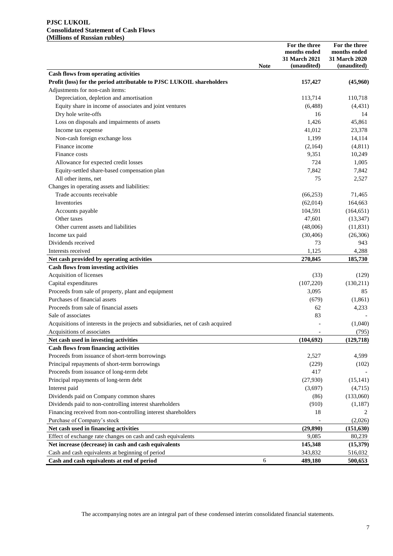#### **PJSC LUKOIL Consolidated Statement of Cash Flows (Millions of Russian rubles)**

|                                                                                  | <b>Note</b> | For the three<br>months ended<br>31 March 2021<br>(unaudited) | For the three<br>months ended<br>31 March 2020<br>(unaudited) |
|----------------------------------------------------------------------------------|-------------|---------------------------------------------------------------|---------------------------------------------------------------|
| <b>Cash flows from operating activities</b>                                      |             |                                                               |                                                               |
| Profit (loss) for the period attributable to PJSC LUKOIL shareholders            |             | 157,427                                                       | (45,960)                                                      |
| Adjustments for non-cash items:                                                  |             |                                                               |                                                               |
| Depreciation, depletion and amortisation                                         |             | 113,714                                                       | 110,718                                                       |
| Equity share in income of associates and joint ventures                          |             | (6,488)                                                       | (4, 431)                                                      |
| Dry hole write-offs                                                              |             | 16                                                            | 14                                                            |
| Loss on disposals and impairments of assets                                      |             | 1,426                                                         | 45,861                                                        |
| Income tax expense                                                               |             | 41,012                                                        | 23,378                                                        |
| Non-cash foreign exchange loss                                                   |             | 1,199                                                         | 14,114                                                        |
| Finance income                                                                   |             | (2,164)                                                       | (4, 811)                                                      |
| Finance costs                                                                    |             | 9,351                                                         | 10,249                                                        |
| Allowance for expected credit losses                                             |             | 724                                                           | 1,005                                                         |
| Equity-settled share-based compensation plan                                     |             | 7,842                                                         | 7,842                                                         |
| All other items, net                                                             |             | 75                                                            | 2,527                                                         |
| Changes in operating assets and liabilities:                                     |             |                                                               |                                                               |
| Trade accounts receivable                                                        |             | (66, 253)                                                     | 71,465                                                        |
| Inventories                                                                      |             | (62,014)                                                      | 164,663                                                       |
| Accounts payable                                                                 |             | 104,591                                                       | (164, 651)                                                    |
| Other taxes                                                                      |             | 47,601                                                        | (13, 347)                                                     |
| Other current assets and liabilities                                             |             | (48,006)                                                      | (11, 831)                                                     |
| Income tax paid                                                                  |             | (30, 406)                                                     | (26, 306)                                                     |
| Dividends received                                                               |             | 73                                                            | 943                                                           |
| Interests received                                                               |             | 1,125                                                         | 4,288                                                         |
| Net cash provided by operating activities                                        |             | 270,845                                                       | 185,730                                                       |
| <b>Cash flows from investing activities</b>                                      |             |                                                               |                                                               |
| Acquisition of licenses                                                          |             | (33)                                                          | (129)                                                         |
| Capital expenditures                                                             |             | (107, 220)                                                    | (130, 211)                                                    |
| Proceeds from sale of property, plant and equipment                              |             | 3,095                                                         | 85                                                            |
| Purchases of financial assets                                                    |             | (679)                                                         | (1, 861)                                                      |
| Proceeds from sale of financial assets                                           |             | 62                                                            | 4,233                                                         |
| Sale of associates                                                               |             | 83                                                            |                                                               |
| Acquisitions of interests in the projects and subsidiaries, net of cash acquired |             |                                                               | (1,040)                                                       |
| Acquisitions of associates                                                       |             |                                                               | (795)                                                         |
| Net cash used in investing activities                                            |             | (104, 692)                                                    | (129, 718)                                                    |
| <b>Cash flows from financing activities</b>                                      |             |                                                               |                                                               |
| Proceeds from issuance of short-term borrowings                                  |             | 2,527                                                         | 4,599                                                         |
| Principal repayments of short-term borrowings                                    |             | (229)                                                         | (102)                                                         |
| Proceeds from issuance of long-term debt                                         |             | 417                                                           |                                                               |
| Principal repayments of long-term debt                                           |             | (27,930)                                                      | (15, 141)                                                     |
| Interest paid                                                                    |             | (3,697)                                                       | (4,715)                                                       |
| Dividends paid on Company common shares                                          |             | (86)                                                          | (133,060)                                                     |
| Dividends paid to non-controlling interest shareholders                          |             | (910)                                                         | (1,187)                                                       |
| Financing received from non-controlling interest shareholders                    |             | 18                                                            |                                                               |
| Purchase of Company's stock                                                      |             |                                                               | (2,026)                                                       |
| Net cash used in financing activities                                            |             | (29, 890)                                                     | (151, 630)                                                    |
| Effect of exchange rate changes on cash and cash equivalents                     |             | 9,085                                                         | 80,239                                                        |
| Net increase (decrease) in cash and cash equivalents                             |             | 145,348                                                       | (15,379)                                                      |
| Cash and cash equivalents at beginning of period                                 |             | 343,832                                                       | 516,032                                                       |
| Cash and cash equivalents at end of period                                       | 6           | 489,180                                                       | 500,653                                                       |

The accompanying notes are an integral part of these condensed interim consolidated financial statements.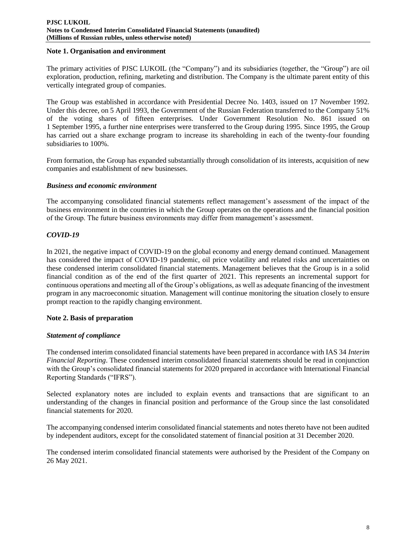#### **Note 1. Organisation and environment**

The primary activities of PJSC LUKOIL (the "Company") and its subsidiaries (together, the "Group") are oil exploration, production, refining, marketing and distribution. The Company is the ultimate parent entity of this vertically integrated group of companies.

The Group was established in accordance with Presidential Decree No. 1403, issued on 17 November 1992. Under this decree, on 5 April 1993, the Government of the Russian Federation transferred to the Company 51% of the voting shares of fifteen enterprises. Under Government Resolution No. 861 issued on 1 September 1995, a further nine enterprises were transferred to the Group during 1995. Since 1995, the Group has carried out a share exchange program to increase its shareholding in each of the twenty-four founding subsidiaries to 100%.

From formation, the Group has expanded substantially through consolidation of its interests, acquisition of new companies and establishment of new businesses.

#### *Business and economic environment*

The accompanying consolidated financial statements reflect management's assessment of the impact of the business environment in the countries in which the Group operates on the operations and the financial position of the Group. The future business environments may differ from management's assessment.

# *COVID-19*

In 2021, the negative impact of COVID-19 on the global economy and energy demand continued. Management has considered the impact of COVID-19 pandemic, oil price volatility and related risks and uncertainties on these condensed interim consolidated financial statements. Management believes that the Group is in a solid financial condition as of the end of the first quarter of 2021. This represents an incremental support for continuous operations and meeting all of the Group's obligations, as well as adequate financing of the investment program in any macroeconomic situation. Management will continue monitoring the situation closely to ensure prompt reaction to the rapidly changing environment.

# **Note 2. Basis of preparation**

#### *Statement of compliance*

The condensed interim consolidated financial statements have been prepared in accordance with IAS 34 *Interim Financial Reporting*. These condensed interim consolidated financial statements should be read in conjunction with the Group's consolidated financial statements for 2020 prepared in accordance with International Financial Reporting Standards ("IFRS").

Selected explanatory notes are included to explain events and transactions that are significant to an understanding of the changes in financial position and performance of the Group since the last consolidated financial statements for 2020.

The accompanying condensed interim consolidated financial statements and notes thereto have not been audited by independent auditors, except for the consolidated statement of financial position at 31 December 2020.

The condensed interim consolidated financial statements were authorised by the President of the Company on 26 May 2021.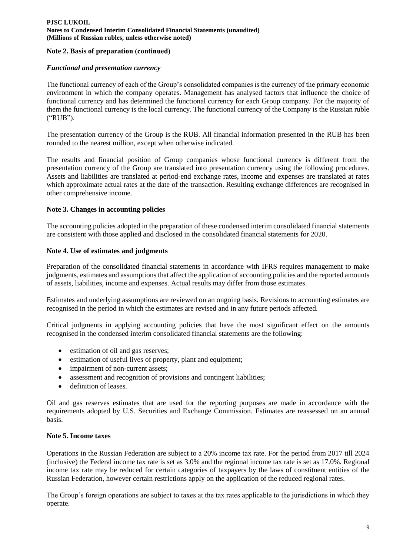## **Note 2. Basis of preparation (сontinued)**

#### *Functional and presentation currency*

The functional currency of each of the Group's consolidated companies is the currency of the primary economic environment in which the company operates. Management has analysed factors that influence the choice of functional currency and has determined the functional currency for each Group company. For the majority of them the functional currency is the local currency. The functional currency of the Company is the Russian ruble ("RUB").

The presentation currency of the Group is the RUB. All financial information presented in the RUB has been rounded to the nearest million, except when otherwise indicated.

The results and financial position of Group companies whose functional currency is different from the presentation currency of the Group are translated into presentation currency using the following procedures. Assets and liabilities are translated at period-end exchange rates, income and expenses are translated at rates which approximate actual rates at the date of the transaction. Resulting exchange differences are recognised in other comprehensive income.

## **Note 3. Changes in accounting policies**

The accounting policies adopted in the preparation of these condensed interim consolidated financial statements are consistent with those applied and disclosed in the consolidated financial statements for 2020.

## **Note 4. Use of estimates and judgments**

Preparation of the consolidated financial statements in accordance with IFRS requires management to make judgments, estimates and assumptions that affect the application of accounting policies and the reported amounts of assets, liabilities, income and expenses. Actual results may differ from those estimates.

Estimates and underlying assumptions are reviewed on an ongoing basis. Revisions to accounting estimates are recognised in the period in which the estimates are revised and in any future periods affected.

Critical judgments in applying accounting policies that have the most significant effect on the amounts recognised in the condensed interim consolidated financial statements are the following:

- estimation of oil and gas reserves;
- estimation of useful lives of property, plant and equipment;
- impairment of non-current assets;
- assessment and recognition of provisions and contingent liabilities;
- definition of leases.

Oil and gas reserves estimates that are used for the reporting purposes are made in accordance with the requirements adopted by U.S. Securities and Exchange Commission. Estimates are reassessed on an annual basis.

#### **Note 5. Income taxes**

Operations in the Russian Federation are subject to a 20% income tax rate. For the period from 2017 till 2024 (inclusive) the Federal income tax rate is set as 3.0% and the regional income tax rate is set as 17.0%. Regional income tax rate may be reduced for certain categories of taxpayers by the laws of constituent entities of the Russian Federation, however certain restrictions apply on the application of the reduced regional rates.

The Group's foreign operations are subject to taxes at the tax rates applicable to the jurisdictions in which they operate.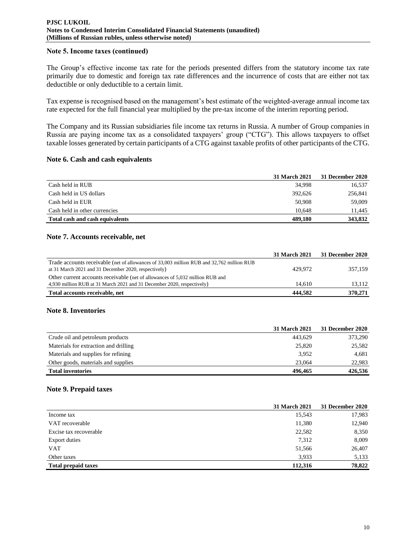#### **PJSC LUKOIL Notes to Condensed Interim Consolidated Financial Statements (unaudited) (Millions of Russian rubles, unless otherwise noted)**

#### **Note 5. Income taxes (сontinued)**

The Group's effective income tax rate for the periods presented differs from the statutory income tax rate primarily due to domestic and foreign tax rate differences and the incurrence of costs that are either not tax deductible or only deductible to a certain limit.

Tax expense is recognised based on the management's best estimate of the weighted-average annual income tax rate expected for the full financial year multiplied by the pre-tax income of the interim reporting period.

The Company and its Russian subsidiaries file income tax returns in Russia. A number of Group companies in Russia are paying income tax as a consolidated taxpayers' group ("CTG"). This allows taxpayers to offset taxable losses generated by certain participants of a CTG against taxable profits of other participants of the CTG.

#### **Note 6. Cash and cash equivalents**

|                                 | 31 March 2021 | 31 December 2020 |
|---------------------------------|---------------|------------------|
| Cash held in RUB                | 34,998        | 16,537           |
| Cash held in US dollars         | 392.626       | 256,841          |
| Cash held in EUR                | 50.908        | 59,009           |
| Cash held in other currencies   | 10.648        | 11,445           |
| Total cash and cash equivalents | 489,180       | 343,832          |

## **Note 7. Accounts receivable, net**

|                                                                                           | <b>31 March 2021</b> | <b>31 December 2020</b> |
|-------------------------------------------------------------------------------------------|----------------------|-------------------------|
| Trade accounts receivable (net of allowances of 33,003 million RUB and 32,762 million RUB |                      |                         |
| at 31 March 2021 and 31 December 2020, respectively)                                      | 429.972              | 357.159                 |
| Other current accounts receivable (net of allowances of 5,032 million RUB and             |                      |                         |
| 4,930 million RUB at 31 March 2021 and 31 December 2020, respectively)                    | 14.610               | 13,112                  |
| Total accounts receivable, net                                                            | 444.582              | 370,271                 |

#### **Note 8. Inventories**

|                                       | <b>31 March 2021</b> | 31 December 2020 |
|---------------------------------------|----------------------|------------------|
| Crude oil and petroleum products      | 443.629              | 373,290          |
| Materials for extraction and drilling | 25,820               | 25,582           |
| Materials and supplies for refining   | 3,952                | 4,681            |
| Other goods, materials and supplies   | 23,064               | 22,983           |
| <b>Total inventories</b>              | 496.465              | 426,536          |

#### **Note 9. Prepaid taxes**

|                            | 31 March 2021 | 31 December 2020 |
|----------------------------|---------------|------------------|
| Income tax                 | 15,543        | 17,983           |
| VAT recoverable            | 11,380        | 12,940           |
| Excise tax recoverable     | 22,582        | 8,350            |
| <b>Export duties</b>       | 7,312         | 8,009            |
| <b>VAT</b>                 | 51,566        | 26,407           |
| Other taxes                | 3,933         | 5,133            |
| <b>Total prepaid taxes</b> | 112,316       | 78,822           |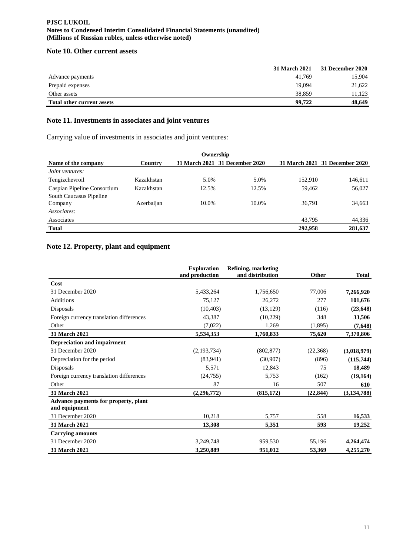#### **PJSC LUKOIL Notes to Condensed Interim Consolidated Financial Statements (unaudited) (Millions of Russian rubles, unless otherwise noted)**

## **Note 10. Other current assets**

|                                   | 31 March 2021 | 31 December 2020 |
|-----------------------------------|---------------|------------------|
| Advance payments                  | 41,769        | 15,904           |
| Prepaid expenses                  | 19,094        | 21,622           |
| Other assets                      | 38,859        | 11.123           |
| <b>Total other current assets</b> | 99,722        | 48,649           |

# **Note 11. Investments in associates and joint ventures**

Carrying value of investments in associates and joint ventures:

| Ownership                          |            |       |                                |         |                                |
|------------------------------------|------------|-------|--------------------------------|---------|--------------------------------|
| Name of the company                | Country    |       | 31 March 2021 31 December 2020 |         | 31 March 2021 31 December 2020 |
| Joint ventures:                    |            |       |                                |         |                                |
| Tengizchevroil                     | Kazakhstan | 5.0%  | 5.0%                           | 152,910 | 146,611                        |
| Caspian Pipeline Consortium        | Kazakhstan | 12.5% | 12.5%                          | 59.462  | 56,027                         |
| South Caucasus Pipeline<br>Company | Azerbaijan | 10.0% | 10.0%                          | 36,791  | 34,663                         |
| Associates:                        |            |       |                                |         |                                |
| Associates                         |            |       |                                | 43.795  | 44,336                         |
| <b>Total</b>                       |            |       |                                | 292,958 | 281,637                        |

# **Note 12. Property, plant and equipment**

|                                                       | <b>Exploration</b><br>and production | <b>Refining, marketing</b><br>and distribution | Other    | <b>Total</b>  |
|-------------------------------------------------------|--------------------------------------|------------------------------------------------|----------|---------------|
| Cost                                                  |                                      |                                                |          |               |
| 31 December 2020                                      | 5,433,264                            | 1,756,650                                      | 77,006   | 7,266,920     |
| <b>Additions</b>                                      | 75,127                               | 26,272                                         | 277      | 101,676       |
| Disposals                                             | (10, 403)                            | (13, 129)                                      | (116)    | (23, 648)     |
| Foreign currency translation differences              | 43,387                               | (10,229)                                       | 348      | 33,506        |
| Other                                                 | (7,022)                              | 1,269                                          | (1,895)  | (7,648)       |
| <b>31 March 2021</b>                                  | 5,534,353                            | 1,760,833                                      | 75,620   | 7,370,806     |
| Depreciation and impairment                           |                                      |                                                |          |               |
| 31 December 2020                                      | (2,193,734)                          | (802, 877)                                     | (22,368) | (3,018,979)   |
| Depreciation for the period                           | (83,941)                             | (30,907)                                       | (896)    | (115,744)     |
| Disposals                                             | 5,571                                | 12,843                                         | 75       | 18,489        |
| Foreign currency translation differences              | (24,755)                             | 5,753                                          | (162)    | (19, 164)     |
| Other                                                 | 87                                   | 16                                             | 507      | 610           |
| 31 March 2021                                         | (2, 296, 772)                        | (815, 172)                                     | (22.844) | (3, 134, 788) |
| Advance payments for property, plant<br>and equipment |                                      |                                                |          |               |
| 31 December 2020                                      | 10,218                               | 5,757                                          | 558      | 16,533        |
| <b>31 March 2021</b>                                  | 13,308                               | 5,351                                          | 593      | 19,252        |
| <b>Carrying amounts</b>                               |                                      |                                                |          |               |
| 31 December 2020                                      | 3,249,748                            | 959,530                                        | 55,196   | 4,264,474     |
| <b>31 March 2021</b>                                  | 3,250,889                            | 951,012                                        | 53,369   | 4,255,270     |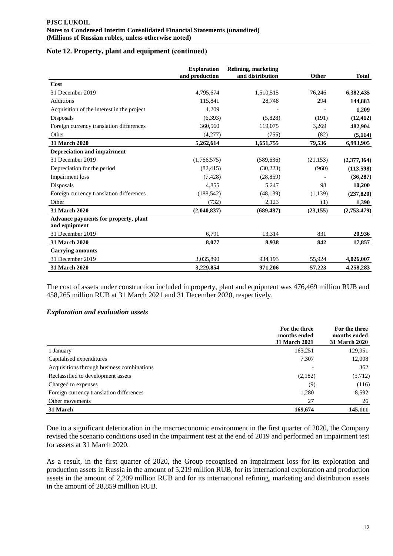## **Note 12. Property, plant and equipment (сontinued)**

|                                                       | <b>Exploration</b><br>and production | Refining, marketing<br>and distribution | Other     | <b>Total</b> |
|-------------------------------------------------------|--------------------------------------|-----------------------------------------|-----------|--------------|
| Cost                                                  |                                      |                                         |           |              |
| 31 December 2019                                      | 4,795,674                            | 1,510,515                               | 76,246    | 6,382,435    |
| <b>Additions</b>                                      | 115,841                              | 28,748                                  | 294       | 144,883      |
| Acquisition of the interest in the project            | 1,209                                |                                         |           | 1,209        |
| Disposals                                             | (6,393)                              | (5,828)                                 | (191)     | (12, 412)    |
| Foreign currency translation differences              | 360,560                              | 119,075                                 | 3,269     | 482,904      |
| Other                                                 | (4,277)                              | (755)                                   | (82)      | (5, 114)     |
| 31 March 2020                                         | 5,262,614                            | 1,651,755                               | 79,536    | 6,993,905    |
| <b>Depreciation and impairment</b>                    |                                      |                                         |           |              |
| 31 December 2019                                      | (1,766,575)                          | (589, 636)                              | (21, 153) | (2,377,364)  |
| Depreciation for the period                           | (82, 415)                            | (30,223)                                | (960)     | (113, 598)   |
| Impairment loss                                       | (7, 428)                             | (28, 859)                               |           | (36, 287)    |
| Disposals                                             | 4,855                                | 5,247                                   | 98        | 10,200       |
| Foreign currency translation differences              | (188, 542)                           | (48, 139)                               | (1,139)   | (237, 820)   |
| Other                                                 | (732)                                | 2,123                                   | (1)       | 1,390        |
| 31 March 2020                                         | (2,040,837)                          | (689, 487)                              | (23, 155) | (2,753,479)  |
| Advance payments for property, plant<br>and equipment |                                      |                                         |           |              |
| 31 December 2019                                      | 6,791                                | 13,314                                  | 831       | 20,936       |
| 31 March 2020                                         | 8,077                                | 8,938                                   | 842       | 17,857       |
| <b>Carrying amounts</b>                               |                                      |                                         |           |              |
| 31 December 2019                                      | 3,035,890                            | 934,193                                 | 55,924    | 4,026,007    |
| <b>31 March 2020</b>                                  | 3,229,854                            | 971,206                                 | 57,223    | 4,258,283    |

The cost of assets under construction included in property, plant and equipment was 476,469 million RUB and 458,265 million RUB at 31 March 2021 and 31 December 2020, respectively.

#### *Exploration and evaluation assets*

|                                            | For the three<br>months ended<br><b>31 March 2021</b> | For the three<br>months ended<br><b>31 March 2020</b> |
|--------------------------------------------|-------------------------------------------------------|-------------------------------------------------------|
| 1 January                                  | 163,251                                               | 129,951                                               |
| Capitalised expenditures                   | 7,307                                                 | 12,008                                                |
| Acquisitions through business combinations |                                                       | 362                                                   |
| Reclassified to development assets         | (2,182)                                               | (5,712)                                               |
| Charged to expenses                        | (9)                                                   | (116)                                                 |
| Foreign currency translation differences   | 1,280                                                 | 8,592                                                 |
| Other movements                            | 27                                                    | 26                                                    |
| 31 March                                   | 169,674                                               | 145,111                                               |

Due to a significant deterioration in the macroeconomic environment in the first quarter of 2020, the Company revised the scenario conditions used in the impairment test at the end of 2019 and performed an impairment test for assets at 31 March 2020.

As a result, in the first quarter of 2020, the Group recognised an impairment loss for its exploration and production assets in Russia in the amount of 5,219 million RUB, for its international exploration and production assets in the amount of 2,209 million RUB and for its international refining, marketing and distribution assets in the amount of 28,859 million RUB.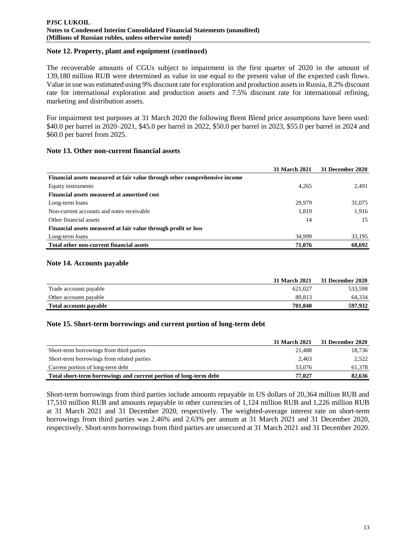## **Note 12. Property, plant and equipment (сontinued)**

The recoverable amounts of CGUs subject to impairment in the first quarter of 2020 in the amount of 139,180 million RUB were determined as value in use equal to the present value of the expected cash flows. Value in use was estimated using 9% discount rate for exploration and production assets in Russia, 8.2% discount rate for international exploration and production assets and 7.5% discount rate for international refining, marketing and distribution assets.

For impairment test purposes at 31 March 2020 the following Brent Blend price assumptions have been used: \$40.0 per barrel in 2020–2021, \$45.0 per barrel in 2022, \$50.0 per barrel in 2023, \$55.0 per barrel in 2024 and \$60.0 per barrel from 2025.

## **Note 13. Other non-current financial assets**

|                                                                            | <b>31 March 2021</b> | <b>31 December 2020</b> |
|----------------------------------------------------------------------------|----------------------|-------------------------|
| Financial assets measured at fair value through other comprehensive income |                      |                         |
| Equity instruments                                                         | 4.265                | 2,491                   |
| Financial assets measured at amortised cost                                |                      |                         |
| Long-term loans                                                            | 29,979               | 31,075                  |
| Non-current accounts and notes receivable                                  | 1.819                | 1,916                   |
| Other financial assets                                                     | 14                   | 15                      |
| Financial assets measured at fair value through profit or loss             |                      |                         |
| Long-term loans                                                            | 34,999               | 33,195                  |
| Total other non-current financial assets                                   | 71,076               | 68,692                  |

## **Note 14. Accounts payable**

|                        | 31 March 2021 | <b>31 December 2020</b> |
|------------------------|---------------|-------------------------|
| Trade accounts payable | 621.027       | 533,598                 |
| Other accounts payable | 80.813        | 64.334                  |
| Total accounts payable | 701.840       | 597,932                 |

#### **Note 15. Short-term borrowings and current portion of long-term debt**

|                                                                   | 31 March 2021 | 31 December 2020 |
|-------------------------------------------------------------------|---------------|------------------|
| Short-term borrowings from third parties                          | 21.488        | 18,736           |
| Short-term borrowings from related parties                        | 2.463         | 2,522            |
| Current portion of long-term debt                                 | 53,076        | 61,378           |
| Total short-term borrowings and current portion of long-term debt | 77.027        | 82,636           |

Short-term borrowings from third parties include amounts repayable in US dollars of 20,364 million RUB and 17,510 million RUB and amounts repayable in other currencies of 1,124 million RUB and 1,226 million RUB at 31 March 2021 and 31 December 2020, respectively. The weighted-average interest rate on short-term borrowings from third parties was 2.46% and 2.63% per annum at 31 March 2021 and 31 December 2020, respectively. Short-term borrowings from third parties are unsecured at 31 March 2021 and 31 December 2020.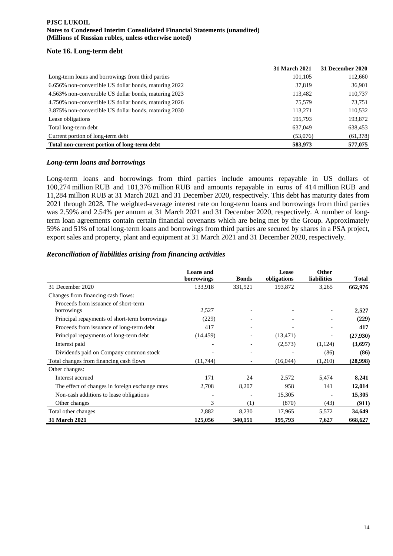## **Note 16. Long-term debt**

|                                                       | <b>31 March 2021</b> | 31 December 2020 |
|-------------------------------------------------------|----------------------|------------------|
| Long-term loans and borrowings from third parties     | 101,105              | 112,660          |
| 6.656% non-convertible US dollar bonds, maturing 2022 | 37,819               | 36,901           |
| 4.563% non-convertible US dollar bonds, maturing 2023 | 113,482              | 110,737          |
| 4.750% non-convertible US dollar bonds, maturing 2026 | 75.579               | 73,751           |
| 3.875% non-convertible US dollar bonds, maturing 2030 | 113,271              | 110,532          |
| Lease obligations                                     | 195.793              | 193,872          |
| Total long-term debt                                  | 637,049              | 638,453          |
| Current portion of long-term debt                     | (53,076)             | (61, 378)        |
| Total non-current portion of long-term debt           | 583,973              | 577,075          |

## *Long-term loans and borrowings*

Long-term loans and borrowings from third parties include amounts repayable in US dollars of 100,274 million RUB and 101,376 million RUB and amounts repayable in euros of 414 million RUB and 11,284 million RUB at 31 March 2021 and 31 December 2020, respectively. This debt has maturity dates from 2021 through 2028. The weighted-average interest rate on long-term loans and borrowings from third parties was 2.59% and 2.54% per annum at 31 March 2021 and 31 December 2020, respectively. A number of longterm loan agreements contain certain financial covenants which are being met by the Group. Approximately 59% and 51% of total long-term loans and borrowings from third parties are secured by shares in a PSA project, export sales and property, plant and equipment at 31 March 2021 and 31 December 2020, respectively.

## *Reconciliation of liabilities arising from financing activities*

|                                                 | <b>Loans</b> and<br>borrowings | <b>Bonds</b>                 | Lease<br>obligations | <b>Other</b><br><b>liabilities</b> | <b>Total</b> |
|-------------------------------------------------|--------------------------------|------------------------------|----------------------|------------------------------------|--------------|
| 31 December 2020                                | 133,918                        | 331,921                      | 193,872              | 3,265                              | 662,976      |
| Changes from financing cash flows:              |                                |                              |                      |                                    |              |
| Proceeds from issuance of short-term            |                                |                              |                      |                                    |              |
| borrowings                                      | 2,527                          |                              |                      |                                    | 2,527        |
| Principal repayments of short-term borrowings   | (229)                          |                              |                      |                                    | (229)        |
| Proceeds from issuance of long-term debt        | 417                            |                              |                      |                                    | 417          |
| Principal repayments of long-term debt          | (14, 459)                      | $\overline{\phantom{0}}$     | (13, 471)            |                                    | (27,930)     |
| Interest paid                                   | $\overline{\phantom{a}}$       | $\qquad \qquad \blacksquare$ | (2,573)              | (1,124)                            | (3,697)      |
| Dividends paid on Company common stock          |                                |                              |                      | (86)                               | (86)         |
| Total changes from financing cash flows         | (11,744)                       |                              | (16,044)             | (1,210)                            | (28,998)     |
| Other changes:                                  |                                |                              |                      |                                    |              |
| Interest accrued                                | 171                            | 24                           | 2,572                | 5,474                              | 8,241        |
| The effect of changes in foreign exchange rates | 2,708                          | 8,207                        | 958                  | 141                                | 12,014       |
| Non-cash additions to lease obligations         |                                |                              | 15,305               |                                    | 15,305       |
| Other changes                                   | 3                              | (1)                          | (870)                | (43)                               | (911)        |
| Total other changes                             | 2,882                          | 8,230                        | 17,965               | 5,572                              | 34,649       |
| <b>31 March 2021</b>                            | 125,056                        | 340,151                      | 195,793              | 7,627                              | 668,627      |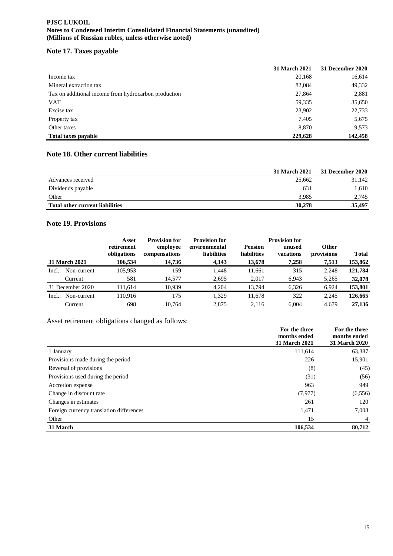# **Note 17. Taxes payable**

|                                                      | 31 March 2021 | 31 December 2020 |
|------------------------------------------------------|---------------|------------------|
| Income tax                                           | 20,168        | 16,614           |
| Mineral extraction tax                               | 82,084        | 49,332           |
| Tax on additional income from hydrocarbon production | 27,864        | 2,881            |
| <b>VAT</b>                                           | 59,335        | 35,650           |
| Excise tax                                           | 23,902        | 22,733           |
| Property tax                                         | 7,405         | 5,675            |
| Other taxes                                          | 8,870         | 9,573            |
| <b>Total taxes payable</b>                           | 229,628       | 142,458          |

# **Note 18. Other current liabilities**

|                                        | 31 March 2021 | <b>31 December 2020</b> |
|----------------------------------------|---------------|-------------------------|
| Advances received                      | 25,662        | 31,142                  |
| Dividends payable                      | 631           | 1,610                   |
| Other                                  | 3.985         | 2,745                   |
| <b>Total other current liabilities</b> | 30,278        | 35,497                  |

# **Note 19. Provisions**

|                          | Asset                     | <b>Provision for</b>      | <b>Provision for</b>         |                                      | <b>Provision for</b> |                            |              |
|--------------------------|---------------------------|---------------------------|------------------------------|--------------------------------------|----------------------|----------------------------|--------------|
|                          | retirement<br>obligations | employee<br>compensations | environmental<br>liabilities | <b>Pension</b><br><b>liabilities</b> | unused<br>vacations  | <b>Other</b><br>provisions | <b>Total</b> |
| <b>31 March 2021</b>     | 106,534                   | 14.736                    | 4,143                        | 13,678                               | 7,258                | 7,513                      | 153,862      |
| Incl.: Non-current       | 105,953                   | 159                       | 1,448                        | 11,661                               | 315                  | 2.248                      | 121,784      |
| Current                  | 581                       | 14,577                    | 2,695                        | 2,017                                | 6,943                | 5,265                      | 32,078       |
| 31 December 2020         | 111,614                   | 10.939                    | 4,204                        | 13,794                               | 6,326                | 6,924                      | 153,801      |
| Non-current<br>$Incl.$ : | 110.916                   | 175                       | 1.329                        | 11,678                               | 322                  | 2.245                      | 126,665      |
| Current                  | 698                       | 10.764                    | 2.875                        | 2.116                                | 6.004                | 4.679                      | 27,136       |

# Asset retirement obligations changed as follows:

|                                          | For the three<br>months ended<br>31 March 2021 | For the three<br>months ended<br>31 March 2020 |
|------------------------------------------|------------------------------------------------|------------------------------------------------|
| 1 January                                | 111.614                                        | 63,387                                         |
| Provisions made during the period        | 226                                            | 15,901                                         |
| Reversal of provisions                   | (8)                                            | (45)                                           |
| Provisions used during the period        | (31)                                           | (56)                                           |
| Accretion expense                        | 963                                            | 949                                            |
| Change in discount rate                  | (7,977)                                        | (6, 556)                                       |
| Changes in estimates                     | 261                                            | 120                                            |
| Foreign currency translation differences | 1,471                                          | 7,008                                          |
| Other                                    | 15                                             | 4                                              |
| 31 March                                 | 106,534                                        | 80,712                                         |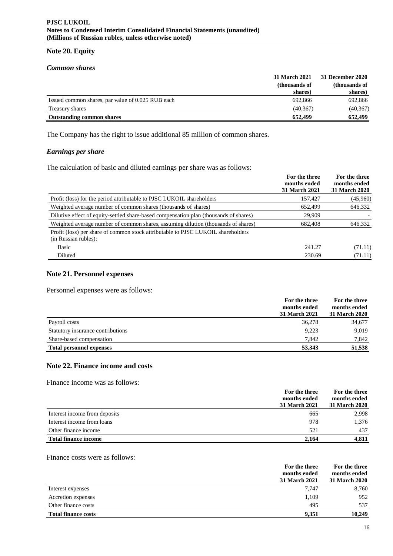#### **Note 20. Equity**

#### *Common shares*

|                                                   | <b>31 March 2021</b> | <b>31 December 2020</b> |  |
|---------------------------------------------------|----------------------|-------------------------|--|
|                                                   | (thousands of        | (thousands of           |  |
|                                                   | shares)              | shares)                 |  |
| Issued common shares, par value of 0.025 RUB each | 692.866              | 692,866                 |  |
| Treasury shares                                   | (40, 367)            | (40, 367)               |  |
| <b>Outstanding common shares</b>                  | 652.499              | 652,499                 |  |

The Company has the right to issue additional 85 million of common shares.

# *Earnings per share*

The calculation of basic and diluted earnings per share was as follows:

|                                                                                                          | For the three<br>months ended<br>31 March 2021 | For the three<br>months ended<br>31 March 2020 |
|----------------------------------------------------------------------------------------------------------|------------------------------------------------|------------------------------------------------|
| Profit (loss) for the period attributable to PJSC LUKOIL shareholders                                    | 157,427                                        | (45,960)                                       |
| Weighted average number of common shares (thousands of shares)                                           | 652,499                                        | 646,332                                        |
| Dilutive effect of equity-settled share-based compensation plan (thousands of shares)                    | 29,909                                         |                                                |
| Weighted average number of common shares, assuming dilution (thousands of shares)                        | 682,408                                        | 646,332                                        |
| Profit (loss) per share of common stock attributable to PJSC LUKOIL shareholders<br>(in Russian rubles): |                                                |                                                |
| Basic                                                                                                    | 241.27                                         | (71.11)                                        |
| Diluted                                                                                                  | 230.69                                         | (71.11)                                        |

## **Note 21. Personnel expenses**

Personnel expenses were as follows:

|                                   | For the three<br>months ended | For the three<br>months ended |
|-----------------------------------|-------------------------------|-------------------------------|
|                                   | <b>31 March 2021</b>          | <b>31 March 2020</b>          |
| Payroll costs                     | 36,278                        | 34,677                        |
| Statutory insurance contributions | 9,223                         | 9,019                         |
| Share-based compensation          | 7.842                         | 7,842                         |
| <b>Total personnel expenses</b>   | 53.343                        | 51,538                        |

# **Note 22. Finance income and costs**

Finance income was as follows:

|                               | For the three<br>months ended<br>31 March 2021 | For the three<br>months ended<br><b>31 March 2020</b> |
|-------------------------------|------------------------------------------------|-------------------------------------------------------|
| Interest income from deposits | 665                                            | 2,998                                                 |
| Interest income from loans    | 978                                            | 1.376                                                 |
| Other finance income          | 521                                            | 437                                                   |
| <b>Total finance income</b>   | 2,164                                          | 4,811                                                 |

Finance costs were as follows:

|                            | For the three<br>months ended<br><b>31 March 2021</b> | For the three<br>months ended<br><b>31 March 2020</b> |
|----------------------------|-------------------------------------------------------|-------------------------------------------------------|
| Interest expenses          | 7.747                                                 | 8,760                                                 |
| Accretion expenses         | 1,109                                                 | 952                                                   |
| Other finance costs        | 495                                                   | 537                                                   |
| <b>Total finance costs</b> | 9.351                                                 | 10.249                                                |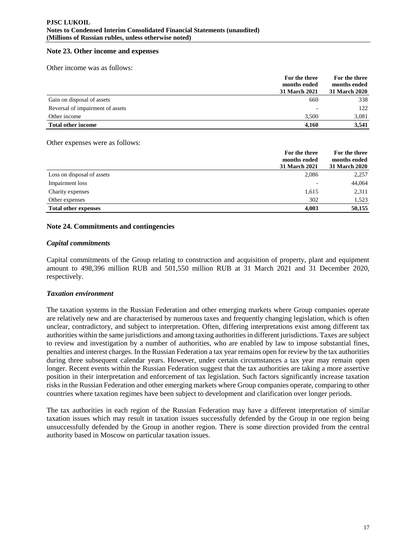#### **Note 23. Other income and expenses**

Other income was as follows:

|                                  | For the three<br>months ended<br>31 March 2021 | For the three<br>months ended<br><b>31 March 2020</b> |
|----------------------------------|------------------------------------------------|-------------------------------------------------------|
| Gain on disposal of assets       | 660                                            | 338                                                   |
| Reversal of impairment of assets |                                                | 122                                                   |
| Other income                     | 3.500                                          | 3,081                                                 |
| <b>Total other income</b>        | 4.160                                          | 3.541                                                 |

Other expenses were as follows:

|                             | For the three        | For the three |
|-----------------------------|----------------------|---------------|
|                             | months ended         | months ended  |
|                             | <b>31 March 2021</b> | 31 March 2020 |
| Loss on disposal of assets  | 2,086                | 2,257         |
| Impairment loss             | <b>11</b>            | 44,064        |
| Charity expenses            | 1,615                | 2,311         |
| Other expenses              | 302                  | 1,523         |
| <b>Total other expenses</b> | 4,003                | 50,155        |

## **Note 24. Commitments and contingencies**

#### *Capital commitments*

Capital commitments of the Group relating to construction and acquisition of property, plant and equipment amount to 498,396 million RUB and 501,550 million RUB at 31 March 2021 and 31 December 2020, respectively.

#### *Taxation environment*

The taxation systems in the Russian Federation and other emerging markets where Group companies operate are relatively new and are characterised by numerous taxes and frequently changing legislation, which is often unclear, contradictory, and subject to interpretation. Often, differing interpretations exist among different tax authorities within the same jurisdictions and among taxing authorities in different jurisdictions. Taxes are subject to review and investigation by a number of authorities, who are enabled by law to impose substantial fines, penalties and interest charges. In the Russian Federation a tax year remains open for review by the tax authorities during three subsequent calendar years. However, under certain circumstances a tax year may remain open longer. Recent events within the Russian Federation suggest that the tax authorities are taking a more assertive position in their interpretation and enforcement of tax legislation. Such factors significantly increase taxation risks in the Russian Federation and other emerging markets where Group companies operate, comparing to other countries where taxation regimes have been subject to development and clarification over longer periods.

The tax authorities in each region of the Russian Federation may have a different interpretation of similar taxation issues which may result in taxation issues successfully defended by the Group in one region being unsuccessfully defended by the Group in another region. There is some direction provided from the central authority based in Moscow on particular taxation issues.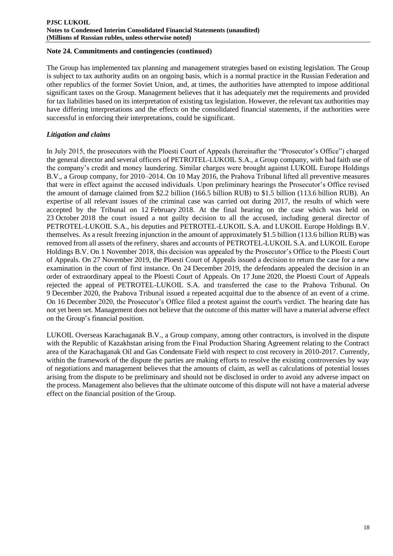#### **Note 24. Commitments and contingencies (сontinued)**

The Group has implemented tax planning and management strategies based on existing legislation. The Group is subject to tax authority audits on an ongoing basis, which is a normal practice in the Russian Federation and other republics of the former Soviet Union, and, at times, the authorities have attempted to impose additional significant taxes on the Group. Management believes that it has adequately met the requirements and provided for tax liabilities based on its interpretation of existing tax legislation. However, the relevant tax authorities may have differing interpretations and the effects on the consolidated financial statements, if the authorities were successful in enforcing their interpretations, could be significant.

# *Litigation and claims*

In July 2015, the prosecutors with the Ploesti Court of Appeals (hereinafter the "Prosecutor's Office") charged the general director and several officers of PETROTEL-LUKOIL S.A., a Group company, with bad faith use of the company's credit and money laundering. Similar charges were brought against LUKOIL Europe Holdings B.V., a Group company, for 2010–2014. On 10 May 2016, the Prahova Tribunal lifted all preventive measures that were in effect against the accused individuals. Upon preliminary hearings the Prosecutor's Office revised the amount of damage claimed from \$2.2 billion (166.5 billion RUB) to \$1.5 billion (113.6 billion RUB). An expertise of all relevant issues of the criminal case was carried out during 2017, the results of which were accepted by the Tribunal on 12 February 2018. At the final hearing on the case which was held on 23 October 2018 the court issued a not guilty decision to all the accused, including general director of PETROTEL-LUKOIL S.A., his deputies and PETROTEL-LUKOIL S.A. and LUKOIL Europe Holdings B.V. themselves. As a result freezing injunction in the amount of approximately \$1.5 billion (113.6 billion RUB) was removed from all assets of the refinery, shares and accounts of PETROTEL-LUKOIL S.A. and LUKOIL Europe Holdings B.V. On 1 November 2018, this decision was appealed by the Prosecutor's Office to the Ploesti Court of Appeals. On 27 November 2019, the Ploesti Court of Appeals issued a decision to return the case for a new examination in the court of first instance. On 24 December 2019, the defendants appealed the decision in an order of extraordinary appeal to the Ploesti Court of Appeals. On 17 June 2020, the Ploesti Court of Appeals rejected the appeal of PETROTEL-LUKOIL S.A. and transferred the case to the Prahova Tribunal. On 9 December 2020, the Prahova Tribunal issued a repeated acquittal due to the absence of an event of a crime. On 16 December 2020, the Prosecutor's Office filed a protest against the court's verdict. The hearing date has not yet been set. Management does not believe that the outcome of this matter will have a material adverse effect on the Group's financial position.

LUKOIL Overseas Karachaganak B.V., a Group company, among other contractors, is involved in the dispute with the Republic of Kazakhstan arising from the Final Production Sharing Agreement relating to the Contract area of the Karachaganak Oil and Gas Condensate Field with respect to cost recovery in 2010-2017. Currently, within the framework of the dispute the parties are making efforts to resolve the existing controversies by way of negotiations and management believes that the amounts of claim, as well as calculations of potential losses arising from the dispute to be preliminary and should not be disclosed in order to avoid any adverse impact on the process. Management also believes that the ultimate outcome of this dispute will not have a material adverse effect on the financial position of the Group.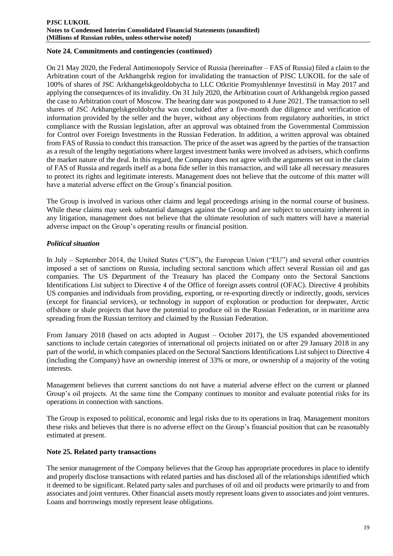## **Note 24. Commitments and contingencies (сontinued)**

On 21 May 2020, the Federal Antimonopoly Service of Russia (hereinafter – FAS of Russia) filed a claim to the Arbitration court of the Arkhangelsk region for invalidating the transaction of PJSC LUKOIL for the sale of 100% of shares of JSC Arkhangelskgeoldobycha to LLC Otkritie Promyshlennye Investitsii in May 2017 and applying the consequences of its invalidity. On 31 July 2020, the Arbitration court of Arkhangelsk region passed the case to Arbitration court of Moscow. The hearing date was postponed to 4 June 2021. The transaction to sell shares of JSC Arkhangelskgeoldobycha was concluded after a five-month due diligence and verification of information provided by the seller and the buyer, without any objections from regulatory authorities, in strict compliance with the Russian legislation, after an approval was obtained from the Governmental Commission for Control over Foreign Investments in the Russian Federation. In addition, a written approval was obtained from FAS of Russia to conduct this transaction. The price of the asset was agreed by the parties of the transaction as a result of the lengthy negotiations where largest investment banks were involved as advisers, which confirms the market nature of the deal. In this regard, the Company does not agree with the arguments set out in the claim of FAS of Russia and regards itself as a bona fide seller in this transaction, and will take all necessary measures to protect its rights and legitimate interests. Management does not believe that the outcome of this matter will have a material adverse effect on the Group's financial position.

The Group is involved in various other claims and legal proceedings arising in the normal course of business. While these claims may seek substantial damages against the Group and are subject to uncertainty inherent in any litigation, management does not believe that the ultimate resolution of such matters will have a material adverse impact on the Group's operating results or financial position.

## *Political situation*

In July – September 2014, the United States ("US"), the European Union ("EU") and several other countries imposed a set of sanctions on Russia, including sectoral sanctions which affect several Russian oil and gas companies. The US Department of the Treasury has placed the Company onto the Sectoral Sanctions Identifications List subject to Directive 4 of the Office of foreign assets control (OFAC). Directive 4 prohibits US companies and individuals from providing, exporting, or re-exporting directly or indirectly, goods, services (except for financial services), or technology in support of exploration or production for deepwater, Arctic offshore or shale projects that have the potential to produce oil in the Russian Federation, or in maritime area spreading from the Russian territory and claimed by the Russian Federation.

From January 2018 (based on acts adopted in August – October 2017), the US expanded abovementioned sanctions to include certain categories of international oil projects initiated on or after 29 January 2018 in any part of the world, in which companies placed on the Sectoral Sanctions Identifications List subject to Directive 4 (including the Company) have an ownership interest of 33% or more, or ownership of a majority of the voting interests.

Management believes that current sanctions do not have a material adverse effect on the current or planned Group's oil projects. At the same time the Company continues to monitor and evaluate potential risks for its operations in connection with sanctions.

The Group is exposed to political, economic and legal risks due to its operations in Iraq. Management monitors these risks and believes that there is no adverse effect on the Group's financial position that can be reasonably estimated at present.

#### **Note 25. Related party transactions**

The senior management of the Company believes that the Group has appropriate procedures in place to identify and properly disclose transactions with related parties and has disclosed all of the relationships identified which it deemed to be significant. Related party sales and purchases of oil and oil products were primarily to and from associates and joint ventures. Other financial assets mostly represent loans given to associates and joint ventures. Loans and borrowings mostly represent lease obligations.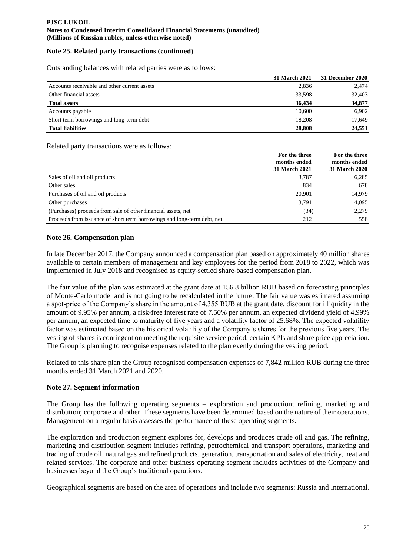## **Note 25. Related party transactions (сontinued)**

Outstanding balances with related parties were as follows:

|                                              | <b>31 March 2021</b> | <b>31 December 2020</b> |
|----------------------------------------------|----------------------|-------------------------|
| Accounts receivable and other current assets | 2,836                | 2,474                   |
| Other financial assets                       | 33,598               | 32,403                  |
| <b>Total assets</b>                          | 36.434               | 34,877                  |
| Accounts payable                             | 10,600               | 6.902                   |
| Short term borrowings and long-term debt     | 18.208               | 17,649                  |
| <b>Total liabilities</b>                     | 28,808               | 24,551                  |

Related party transactions were as follows:

|                                                                         | For the three<br>months ended | For the three<br>months ended |
|-------------------------------------------------------------------------|-------------------------------|-------------------------------|
|                                                                         | <b>31 March 2021</b>          | 31 March 2020                 |
| Sales of oil and oil products                                           | 3,787                         | 6,285                         |
| Other sales                                                             | 834                           | 678                           |
| Purchases of oil and oil products                                       | 20.901                        | 14,979                        |
| Other purchases                                                         | 3.791                         | 4,095                         |
| (Purchases) proceeds from sale of other financial assets, net           | (34)                          | 2,279                         |
| Proceeds from issuance of short term borrowings and long-term debt, net | 212                           | 558                           |

## **Note 26. Compensation plan**

In late December 2017, the Company announced a compensation plan based on approximately 40 million shares available to certain members of management and key employees for the period from 2018 to 2022, which was implemented in July 2018 and recognised as equity-settled share-based compensation plan.

The fair value of the plan was estimated at the grant date at 156.8 billion RUB based on forecasting principles of Monte-Carlo model and is not going to be recalculated in the future. The fair value was estimated assuming a spot-price of the Company's share in the amount of 4,355 RUB at the grant date, discount for illiquidity in the amount of 9.95% per annum, a risk-free interest rate of 7.50% per annum, an expected dividend yield of 4.99% per annum, an expected time to maturity of five years and a volatility factor of 25.68%. The expected volatility factor was estimated based on the historical volatility of the Company's shares for the previous five years. The vesting of shares is contingent on meeting the requisite service period, certain KPIs and share price appreciation. The Group is planning to recognise expenses related to the plan evenly during the vesting period.

Related to this share plan the Group recognised compensation expenses of 7,842 million RUB during the three months ended 31 March 2021 and 2020.

#### **Note 27. Segment information**

The Group has the following operating segments – exploration and production; refining, marketing and distribution; corporate and other. These segments have been determined based on the nature of their operations. Management on a regular basis assesses the performance of these operating segments.

The exploration and production segment explores for, develops and produces crude oil and gas. The refining, marketing and distribution segment includes refining, petrochemical and transport operations, marketing and trading of crude oil, natural gas and refined products, generation, transportation and sales of electricity, heat and related services. The corporate and other business operating segment includes activities of the Company and businesses beyond the Group's traditional operations.

Geographical segments are based on the area of operations and include two segments: Russia and International.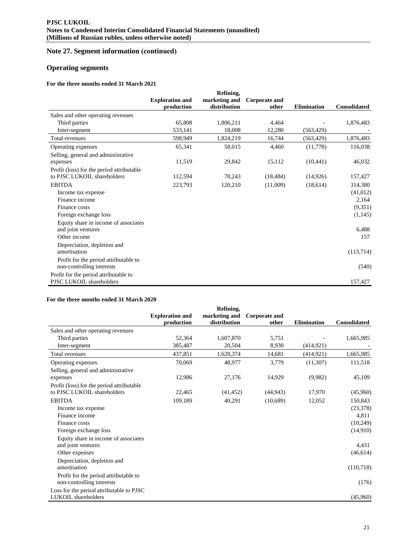# **Note 27. Segment information (сontinued)**

# **Operating segments**

#### **For the three months ended 31 March 2021**

|                                           |                        | Refining,     |               |                    |                     |
|-------------------------------------------|------------------------|---------------|---------------|--------------------|---------------------|
|                                           | <b>Exploration and</b> | marketing and | Corporate and |                    |                     |
|                                           | production             | distribution  | other         | <b>Elimination</b> | <b>Consolidated</b> |
| Sales and other operating revenues        |                        |               |               |                    |                     |
| Third parties                             | 65,808                 | 1,806,211     | 4,464         |                    | 1,876,483           |
| Inter-segment                             | 533,141                | 18,008        | 12,280        | (563, 429)         |                     |
| Total revenues                            | 598,949                | 1,824,219     | 16,744        | (563, 429)         | 1,876,483           |
| Operating expenses                        | 65,341                 | 58,015        | 4,460         | (11,778)           | 116,038             |
| Selling, general and administrative       |                        |               |               |                    |                     |
| expenses                                  | 11,519                 | 29,842        | 15,112        | (10, 441)          | 46,032              |
| Profit (loss) for the period attributable |                        |               |               |                    |                     |
| to PJSC LUKOIL shareholders               | 112,594                | 78,243        | (18, 484)     | (14,926)           | 157,427             |
| <b>EBITDA</b>                             | 223,793                | 120,210       | (11,009)      | (18,614)           | 314,380             |
| Income tax expense                        |                        |               |               |                    | (41,012)            |
| Finance income                            |                        |               |               |                    | 2,164               |
| Finance costs                             |                        |               |               |                    | (9,351)             |
| Foreign exchange loss                     |                        |               |               |                    | (1, 145)            |
| Equity share in income of associates      |                        |               |               |                    |                     |
| and joint ventures                        |                        |               |               |                    | 6,488               |
| Other income                              |                        |               |               |                    | 157                 |
| Depreciation, depletion and               |                        |               |               |                    |                     |
| amortisation                              |                        |               |               |                    | (113,714)           |
| Profit for the period attributable to     |                        |               |               |                    |                     |
| non-controlling interests                 |                        |               |               |                    | (540)               |
| Profit for the period attributable to     |                        |               |               |                    |                     |
| PJSC LUKOIL shareholders                  |                        |               |               |                    | 157,427             |

#### **For the three months ended 31 March 2020**

|                                           |                        | Refining,     |                      |                    |                     |
|-------------------------------------------|------------------------|---------------|----------------------|--------------------|---------------------|
|                                           | <b>Exploration and</b> | marketing and | <b>Corporate and</b> |                    |                     |
|                                           | production             | distribution  | other                | <b>Elimination</b> | <b>Consolidated</b> |
| Sales and other operating revenues        |                        |               |                      |                    |                     |
| Third parties                             | 52,364                 | 1,607,870     | 5,751                |                    | 1,665,985           |
| Inter-segment                             | 385,487                | 20,504        | 8,930                | (414, 921)         |                     |
| Total revenues                            | 437,851                | 1,628,374     | 14,681               | (414, 921)         | 1,665,985           |
| Operating expenses                        | 70,069                 | 48,977        | 3,779                | (11,307)           | 111,518             |
| Selling, general and administrative       |                        |               |                      |                    |                     |
| expenses                                  | 12,986                 | 27,176        | 14,929               | (9,982)            | 45,109              |
| Profit (loss) for the period attributable |                        |               |                      |                    |                     |
| to PJSC LUKOIL shareholders               | 22,465                 | (41, 452)     | (44, 943)            | 17,970             | (45,960)            |
| <b>EBITDA</b>                             | 109,189                | 40,291        | (10,689)             | 12,052             | 150,843             |
| Income tax expense                        |                        |               |                      |                    | (23, 378)           |
| Finance income                            |                        |               |                      |                    | 4,811               |
| Finance costs                             |                        |               |                      |                    | (10, 249)           |
| Foreign exchange loss                     |                        |               |                      |                    | (14,910)            |
| Equity share in income of associates      |                        |               |                      |                    |                     |
| and joint ventures                        |                        |               |                      |                    | 4,431               |
| Other expenses                            |                        |               |                      |                    | (46, 614)           |
| Depreciation, depletion and               |                        |               |                      |                    |                     |
| amortisation                              |                        |               |                      |                    | (110,718)           |
| Profit for the period attributable to     |                        |               |                      |                    |                     |
| non-controlling interests                 |                        |               |                      |                    | (176)               |
| Loss for the period attributable to PJSC  |                        |               |                      |                    |                     |
| LUKOIL shareholders                       |                        |               |                      |                    | (45,960)            |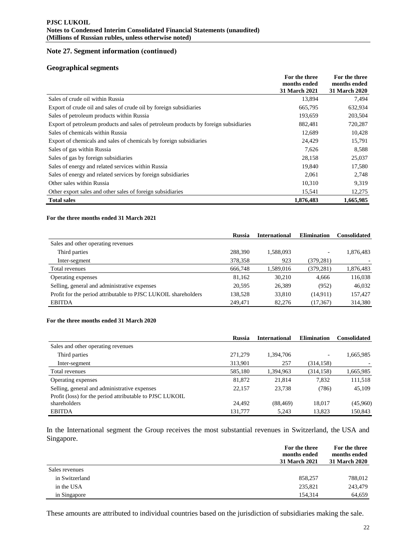# **Note 27. Segment information (сontinued)**

#### **Geographical segments**

|                                                                                      | For the three | For the three |
|--------------------------------------------------------------------------------------|---------------|---------------|
|                                                                                      | months ended  | months ended  |
|                                                                                      | 31 March 2021 | 31 March 2020 |
| Sales of crude oil within Russia                                                     | 13,894        | 7,494         |
| Export of crude oil and sales of crude oil by foreign subsidiaries                   | 665,795       | 632,934       |
| Sales of petroleum products within Russia                                            | 193,659       | 203,504       |
| Export of petroleum products and sales of petroleum products by foreign subsidiaries | 882,481       | 720,287       |
| Sales of chemicals within Russia                                                     | 12,689        | 10,428        |
| Export of chemicals and sales of chemicals by foreign subsidiaries                   | 24,429        | 15,791        |
| Sales of gas within Russia                                                           | 7,626         | 8,588         |
| Sales of gas by foreign subsidiaries                                                 | 28,158        | 25,037        |
| Sales of energy and related services within Russia                                   | 19,840        | 17,580        |
| Sales of energy and related services by foreign subsidiaries                         | 2,061         | 2,748         |
| Other sales within Russia                                                            | 10,310        | 9,319         |
| Other export sales and other sales of foreign subsidiaries                           | 15,541        | 12,275        |
| <b>Total sales</b>                                                                   | 1,876,483     | 1,665,985     |

#### **For the three months ended 31 March 2021**

|                                                                | <b>Russia</b> | <b>International</b> | <b>Elimination</b> | <b>Consolidated</b> |
|----------------------------------------------------------------|---------------|----------------------|--------------------|---------------------|
| Sales and other operating revenues                             |               |                      |                    |                     |
| Third parties                                                  | 288,390       | 1,588,093            |                    | 1,876,483           |
| Inter-segment                                                  | 378,358       | 923                  | (379,281)          |                     |
| Total revenues                                                 | 666,748       | 1,589,016            | (379, 281)         | 1,876,483           |
| Operating expenses                                             | 81.162        | 30.210               | 4.666              | 116,038             |
| Selling, general and administrative expenses                   | 20.595        | 26,389               | (952)              | 46.032              |
| Profit for the period attributable to PJSC LUKOIL shareholders | 138,528       | 33,810               | (14,911)           | 157,427             |
| <b>EBITDA</b>                                                  | 249.471       | 82,276               | (17, 367)          | 314,380             |

#### **For the three months ended 31 March 2020**

|                                                          | <b>Russia</b> | <b>International</b> | <b>Elimination</b> | <b>Consolidated</b> |
|----------------------------------------------------------|---------------|----------------------|--------------------|---------------------|
| Sales and other operating revenues                       |               |                      |                    |                     |
| Third parties                                            | 271,279       | 1.394.706            |                    | 1,665,985           |
| Inter-segment                                            | 313,901       | 257                  | (314, 158)         |                     |
| Total revenues                                           | 585,180       | 1,394,963            | (314, 158)         | 1,665,985           |
| Operating expenses                                       | 81,872        | 21,814               | 7,832              | 111,518             |
| Selling, general and administrative expenses             | 22,157        | 23,738               | (786)              | 45,109              |
| Profit (loss) for the period attributable to PJSC LUKOIL |               |                      |                    |                     |
| shareholders                                             | 24.492        | (88, 469)            | 18,017             | (45,960)            |
| <b>EBITDA</b>                                            | 131,777       | 5.243                | 13,823             | 150,843             |

In the International segment the Group receives the most substantial revenues in Switzerland, the USA and Singapore.

|                | For the three<br>months ended<br><b>31 March 2021</b> | For the three<br>months ended<br>31 March 2020 |
|----------------|-------------------------------------------------------|------------------------------------------------|
| Sales revenues |                                                       |                                                |
| in Switzerland | 858.257                                               | 788,012                                        |
| in the USA     | 235,821                                               | 243,479                                        |
| in Singapore   | 154.314                                               | 64,659                                         |

These amounts are attributed to individual countries based on the jurisdiction of subsidiaries making the sale.